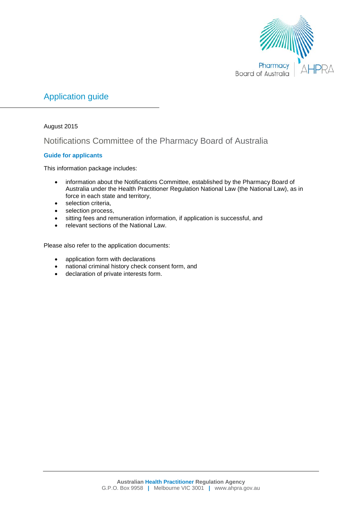

# Application guide

## August 2015

## Notifications Committee of the Pharmacy Board of Australia

## **Guide for applicants**

This information package includes:

- information about the Notifications Committee, established by the Pharmacy Board of Australia under the Health Practitioner Regulation National Law (the National Law), as in force in each state and territory,
- selection criteria,
- selection process,
- sitting fees and remuneration information, if application is successful, and
- relevant sections of the National Law.

Please also refer to the application documents:

- application form with declarations
- national criminal history check consent form, and
- declaration of private interests form.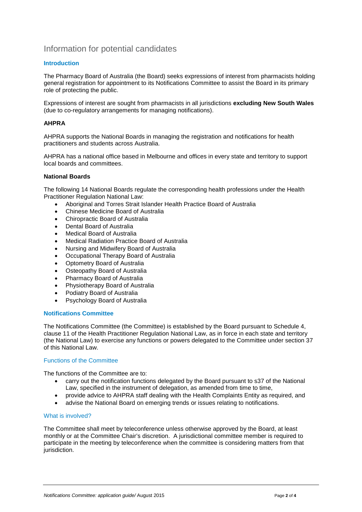## Information for potential candidates

#### **Introduction**

The Pharmacy Board of Australia (the Board) seeks expressions of interest from pharmacists holding general registration for appointment to its Notifications Committee to assist the Board in its primary role of protecting the public.

Expressions of interest are sought from pharmacists in all jurisdictions **excluding New South Wales** (due to co-regulatory arrangements for managing notifications).

### **AHPRA**

AHPRA supports the National Boards in managing the registration and notifications for health practitioners and students across Australia.

AHPRA has a national office based in Melbourne and offices in every state and territory to support local boards and committees.

#### **National Boards**

The following 14 National Boards regulate the corresponding health professions under the Health Practitioner Regulation National Law:

- Aboriginal and Torres Strait Islander Health Practice Board of Australia
- Chinese Medicine Board of Australia
- Chiropractic Board of Australia
- Dental Board of Australia
- Medical Board of Australia
- Medical Radiation Practice Board of Australia
- Nursing and Midwifery Board of Australia
- Occupational Therapy Board of Australia
- Optometry Board of Australia
- Osteopathy Board of Australia
- Pharmacy Board of Australia
- Physiotherapy Board of Australia
- Podiatry Board of Australia
- Psychology Board of Australia

#### **Notifications Committee**

The Notifications Committee (the Committee) is established by the Board pursuant to Schedule 4, clause 11 of the Health Practitioner Regulation National Law, as in force in each state and territory (the National Law) to exercise any functions or powers delegated to the Committee under section 37 of this National Law.

#### Functions of the Committee

The functions of the Committee are to:

- carry out the notification functions delegated by the Board pursuant to s37 of the National Law, specified in the instrument of delegation, as amended from time to time,
- provide advice to AHPRA staff dealing with the Health Complaints Entity as required, and
- advise the National Board on emerging trends or issues relating to notifications.

#### What is involved?

The Committee shall meet by teleconference unless otherwise approved by the Board, at least monthly or at the Committee Chair's discretion. A jurisdictional committee member is required to participate in the meeting by teleconference when the committee is considering matters from that jurisdiction.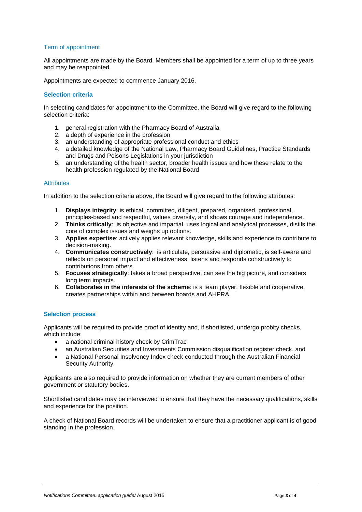### Term of appointment

All appointments are made by the Board. Members shall be appointed for a term of up to three years and may be reappointed.

Appointments are expected to commence January 2016.

#### **Selection criteria**

In selecting candidates for appointment to the Committee, the Board will give regard to the following selection criteria:

- 1. general registration with the Pharmacy Board of Australia
- 2. a depth of experience in the profession
- 3. an understanding of appropriate professional conduct and ethics
- 4. a detailed knowledge of the National Law, Pharmacy Board Guidelines, Practice Standards and Drugs and Poisons Legislations in your jurisdiction
- 5. an understanding of the health sector, broader health issues and how these relate to the health profession regulated by the National Board

#### **Attributes**

In addition to the selection criteria above, the Board will give regard to the following attributes:

- 1. **Displays integrity**: is ethical, committed, diligent, prepared, organised, professional, principles-based and respectful, values diversity, and shows courage and independence.
- 2. **Thinks critically**: is objective and impartial, uses logical and analytical processes, distils the core of complex issues and weighs up options.
- 3. **Applies expertise**: actively applies relevant knowledge, skills and experience to contribute to decision-making.
- 4. **Communicates constructively**: is articulate, persuasive and diplomatic, is self-aware and reflects on personal impact and effectiveness, listens and responds constructively to contributions from others.
- 5. **Focuses strategically**: takes a broad perspective, can see the big picture, and considers long term impacts.
- 6. **Collaborates in the interests of the scheme**: is a team player, flexible and cooperative, creates partnerships within and between boards and AHPRA.

#### **Selection process**

Applicants will be required to provide proof of identity and, if shortlisted, undergo probity checks, which include:

- a national criminal history check by CrimTrac
- an Australian Securities and Investments Commission disqualification register check, and
- a National Personal Insolvency Index check conducted through the Australian Financial Security Authority.

Applicants are also required to provide information on whether they are current members of other government or statutory bodies.

Shortlisted candidates may be interviewed to ensure that they have the necessary qualifications, skills and experience for the position.

A check of National Board records will be undertaken to ensure that a practitioner applicant is of good standing in the profession.